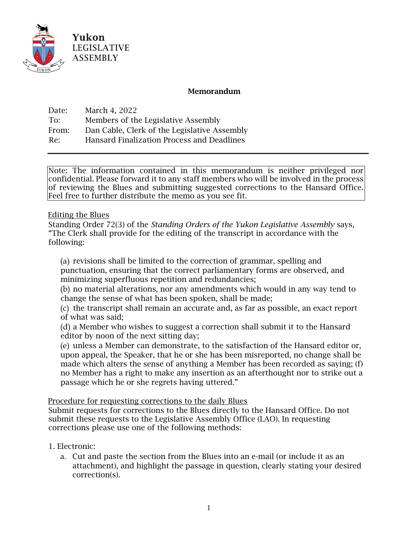

## Memorandum

Date: March 4, 2022 To: Members of the Legislative Assembly From: Dan Cable, Clerk of the Legislative Assembly Re: Hansard Finalization Process and Deadlines

Note: The information contained in this memorandum is neither privileged nor confidential. Please forward it to any staff members who will be involved in the process of reviewing the Blues and submitting suggested corrections to the Hansard Office. Feel free to further distribute the memo as you see fit.

### Editing the Blues

Standing Order 72(3) of the *Standing Orders of the Yukon Legislative Assembly* says, "The Clerk shall provide for the editing of the transcript in accordance with the following:

(a) revisions shall be limited to the correction of grammar, spelling and punctuation, ensuring that the correct parliamentary forms are observed, and minimizing superfluous repetition and redundancies;

(b) no material alterations, nor any amendments which would in any way tend to change the sense of what has been spoken, shall be made;

(c) the transcript shall remain an accurate and, as far as possible, an exact report of what was said;

(d) a Member who wishes to suggest a correction shall submit it to the Hansard editor by noon of the next sitting day;

(e) unless a Member can demonstrate, to the satisfaction of the Hansard editor or, upon appeal, the Speaker, that he or she has been misreported, no change shall be made which alters the sense of anything a Member has been recorded as saying; (f) no Member has a right to make any insertion as an afterthought nor to strike out a passage which he or she regrets having uttered."

### Procedure for requesting corrections to the daily Blues

Submit requests for corrections to the Blues directly to the Hansard Office. Do not submit these requests to the Legislative Assembly Office (LAO). In requesting corrections please use one of the following methods:

### 1. Electronic:

a. Cut and paste the section from the Blues into an e-mail (or include it as an attachment), and highlight the passage in question, clearly stating your desired correction(s).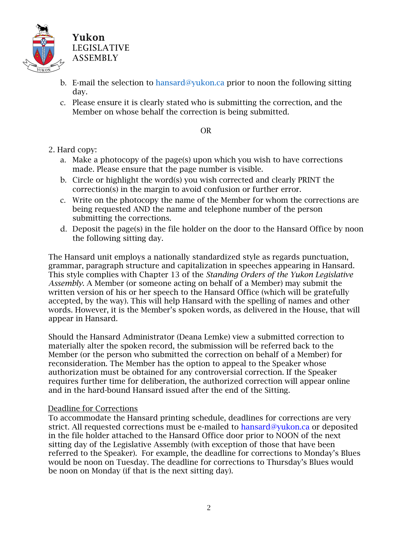

- b. E-mail the selection to [hansard@yukon.ca](mailto:hansard@yukon.ca) prior to noon the following sitting day.
- c. Please ensure it is clearly stated who is submitting the correction, and the Member on whose behalf the correction is being submitted.

#### OR

# 2. Hard copy:

- a. Make a photocopy of the page(s) upon which you wish to have corrections made. Please ensure that the page number is visible.
- b. Circle or highlight the word(s) you wish corrected and clearly PRINT the correction(s) in the margin to avoid confusion or further error.
- c. Write on the photocopy the name of the Member for whom the corrections are being requested AND the name and telephone number of the person submitting the corrections.
- d. Deposit the page(s) in the file holder on the door to the Hansard Office by noon the following sitting day.

The Hansard unit employs a nationally standardized style as regards punctuation, grammar, paragraph structure and capitalization in speeches appearing in Hansard. This style complies with Chapter 13 of the *Standing Orders of the Yukon Legislative Assembly*. A Member (or someone acting on behalf of a Member) may submit the written version of his or her speech to the Hansard Office (which will be gratefully accepted, by the way). This will help Hansard with the spelling of names and other words. However, it is the Member's spoken words, as delivered in the House, that will appear in Hansard.

Should the Hansard Administrator (Deana Lemke) view a submitted correction to materially alter the spoken record, the submission will be referred back to the Member (or the person who submitted the correction on behalf of a Member) for reconsideration. The Member has the option to appeal to the Speaker whose authorization must be obtained for any controversial correction. If the Speaker requires further time for deliberation, the authorized correction will appear online and in the hard-bound Hansard issued after the end of the Sitting.

### Deadline for Corrections

To accommodate the Hansard printing schedule, deadlines for corrections are very strict. All requested corrections must be e-mailed to hansard@yukon.ca or deposited in the file holder attached to the Hansard Office door prior to NOON of the next sitting day of the Legislative Assembly (with exception of those that have been referred to the Speaker). For example, the deadline for corrections to Monday's Blues would be noon on Tuesday. The deadline for corrections to Thursday's Blues would be noon on Monday (if that is the next sitting day).